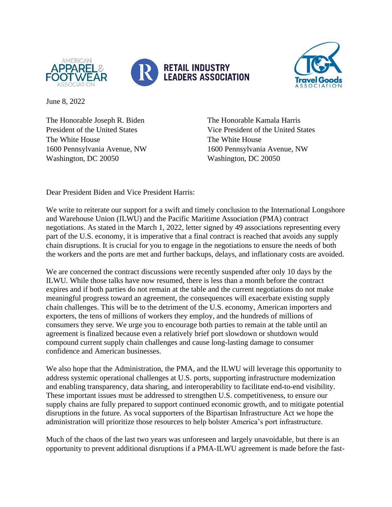



June 8, 2022

The Honorable Joseph R. Biden The Honorable Kamala Harris The White House The White House 1600 Pennsylvania Avenue, NW 1600 Pennsylvania Avenue, NW Washington, DC 20050 Washington, DC 20050

President of the United States Vice President of the United States

Dear President Biden and Vice President Harris:

We write to reiterate our support for a swift and timely conclusion to the International Longshore and Warehouse Union (ILWU) and the Pacific Maritime Association (PMA) contract negotiations. As stated in the March 1, 2022, letter signed by 49 associations representing every part of the U.S. economy, it is imperative that a final contract is reached that avoids any supply chain disruptions. It is crucial for you to engage in the negotiations to ensure the needs of both the workers and the ports are met and further backups, delays, and inflationary costs are avoided.

We are concerned the contract discussions were recently suspended after only 10 days by the ILWU. While those talks have now resumed, there is less than a month before the contract expires and if both parties do not remain at the table and the current negotiations do not make meaningful progress toward an agreement, the consequences will exacerbate existing supply chain challenges. This will be to the detriment of the U.S. economy, American importers and exporters, the tens of millions of workers they employ, and the hundreds of millions of consumers they serve. We urge you to encourage both parties to remain at the table until an agreement is finalized because even a relatively brief port slowdown or shutdown would compound current supply chain challenges and cause long-lasting damage to consumer confidence and American businesses.

We also hope that the Administration, the PMA, and the ILWU will leverage this opportunity to address systemic operational challenges at U.S. ports, supporting infrastructure modernization and enabling transparency, data sharing, and interoperability to facilitate end-to-end visibility. These important issues must be addressed to strengthen U.S. competitiveness, to ensure our supply chains are fully prepared to support continued economic growth, and to mitigate potential disruptions in the future. As vocal supporters of the Bipartisan Infrastructure Act we hope the administration will prioritize those resources to help bolster America's port infrastructure.

Much of the chaos of the last two years was unforeseen and largely unavoidable, but there is an opportunity to prevent additional disruptions if a PMA-ILWU agreement is made before the fast-